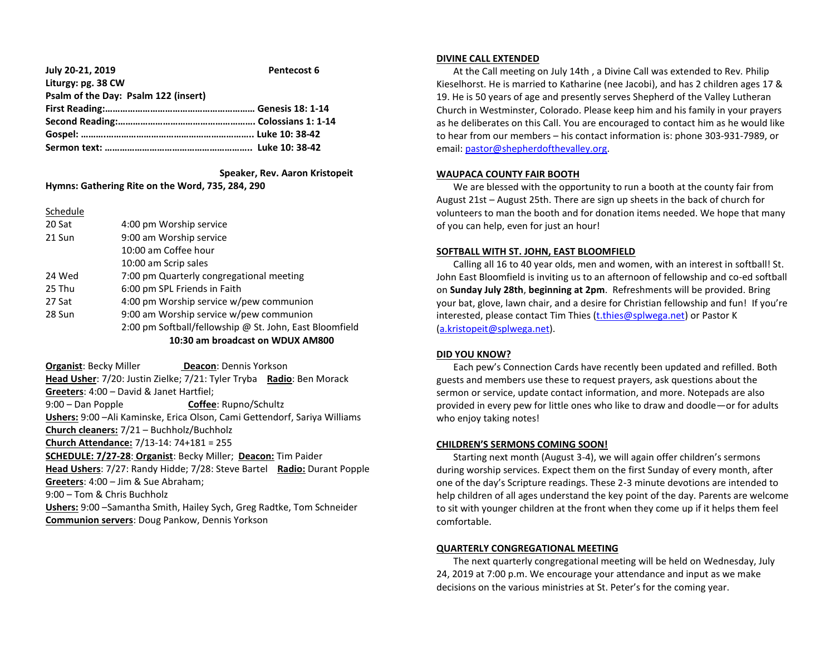| July 20-21, 2019                     | Pentecost 6 |
|--------------------------------------|-------------|
| Liturgy: pg. 38 CW                   |             |
| Psalm of the Day: Psalm 122 (insert) |             |
|                                      |             |
|                                      |             |
|                                      |             |
|                                      |             |

 **Speaker, Rev. Aaron Kristopeit**

**Hymns: Gathering Rite on the Word, 735, 284, 290**

Schedule

| 20 Sat | 4:00 pm Worship service                                 |
|--------|---------------------------------------------------------|
| 21 Sun | 9:00 am Worship service                                 |
|        | 10:00 am Coffee hour                                    |
|        | 10:00 am Scrip sales                                    |
| 24 Wed | 7:00 pm Quarterly congregational meeting                |
| 25 Thu | 6:00 pm SPL Friends in Faith                            |
| 27 Sat | 4:00 pm Worship service w/pew communion                 |
| 28 Sun | 9:00 am Worship service w/pew communion                 |
|        | 2:00 pm Softball/fellowship @ St. John, East Bloomfield |
|        | 10:30 am broadcast on WDUX AM800                        |

**Organist: Becky Miller <b>Deacon: Dennis Yorkson Head Usher**: 7/20: Justin Zielke; 7/21: Tyler Tryba **Radio**: Ben Morack **Greeters**: 4:00 – David & Janet Hartfiel; 9:00 – Dan Popple **Coffee**: Rupno/Schultz **Ushers:** 9:00 –Ali Kaminske, Erica Olson, Cami Gettendorf, Sariya Williams **Church cleaners:** 7/21 – Buchholz/Buchholz **Church Attendance:** 7/13-14: 74+181 = 255 **SCHEDULE: 7/27-28**: **Organist**: Becky Miller; **Deacon:** Tim Paider **Head Ushers**: 7/27: Randy Hidde; 7/28: Steve Bartel **Radio:** Durant Popple **Greeters**: 4:00 – Jim & Sue Abraham; 9:00 – Tom & Chris Buchholz **Ushers:** 9:00 –Samantha Smith, Hailey Sych, Greg Radtke, Tom Schneider **Communion servers**: Doug Pankow, Dennis Yorkson

#### **DIVINE CALL EXTENDED**

 At the Call meeting on July 14th , a Divine Call was extended to Rev. Philip Kieselhorst. He is married to Katharine (nee Jacobi), and has 2 children ages 17 & 19. He is 50 years of age and presently serves Shepherd of the Valley Lutheran Church in Westminster, Colorado. Please keep him and his family in your prayers as he deliberates on this Call. You are encouraged to contact him as he would like to hear from our members – his contact information is: phone 303-931-7989, or email[: pastor@shepherdofthevalley.org.](mailto:pastor@shepherdofthevalley.org)

## **WAUPACA COUNTY FAIR BOOTH**

We are blessed with the opportunity to run a booth at the county fair from August 21st – August 25th. There are sign up sheets in the back of church for volunteers to man the booth and for donation items needed. We hope that many of you can help, even for just an hour!

## **SOFTBALL WITH ST. JOHN, EAST BLOOMFIELD**

 Calling all 16 to 40 year olds, men and women, with an interest in softball! St. John East Bloomfield is inviting us to an afternoon of fellowship and co-ed softball on **Sunday July 28th**, **beginning at 2pm**. Refreshments will be provided. Bring your bat, glove, lawn chair, and a desire for Christian fellowship and fun! If you're interested, please contact Tim Thies [\(t.thies@splwega.net\)](mailto:t.thies@splwega.net) or Pastor K [\(a.kristopeit@splwega.net\)](mailto:a.kristopeit@splwega.net).

## **DID YOU KNOW?**

 Each pew's Connection Cards have recently been updated and refilled. Both guests and members use these to request prayers, ask questions about the sermon or service, update contact information, and more. Notepads are also provided in every pew for little ones who like to draw and doodle—or for adults who enjoy taking notes!

# **CHILDREN'S SERMONS COMING SOON!**

 Starting next month (August 3-4), we will again offer children's sermons during worship services. Expect them on the first Sunday of every month, after one of the day's Scripture readings. These 2-3 minute devotions are intended to help children of all ages understand the key point of the day. Parents are welcome to sit with younger children at the front when they come up if it helps them feel comfortable.

# **QUARTERLY CONGREGATIONAL MEETING**

 The next quarterly congregational meeting will be held on Wednesday, July 24, 2019 at 7:00 p.m. We encourage your attendance and input as we make decisions on the various ministries at St. Peter's for the coming year.